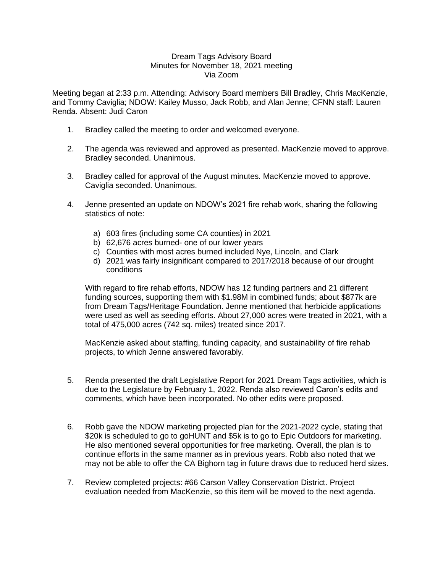## Dream Tags Advisory Board Minutes for November 18, 2021 meeting Via Zoom

Meeting began at 2:33 p.m. Attending: Advisory Board members Bill Bradley, Chris MacKenzie, and Tommy Caviglia; NDOW: Kailey Musso, Jack Robb, and Alan Jenne; CFNN staff: Lauren Renda. Absent: Judi Caron

- 1. Bradley called the meeting to order and welcomed everyone.
- 2. The agenda was reviewed and approved as presented. MacKenzie moved to approve. Bradley seconded. Unanimous.
- 3. Bradley called for approval of the August minutes. MacKenzie moved to approve. Caviglia seconded. Unanimous.
- 4. Jenne presented an update on NDOW's 2021 fire rehab work, sharing the following statistics of note:
	- a) 603 fires (including some CA counties) in 2021
	- b) 62,676 acres burned- one of our lower years
	- c) Counties with most acres burned included Nye, Lincoln, and Clark
	- d) 2021 was fairly insignificant compared to 2017/2018 because of our drought conditions

With regard to fire rehab efforts, NDOW has 12 funding partners and 21 different funding sources, supporting them with \$1.98M in combined funds; about \$877k are from Dream Tags/Heritage Foundation. Jenne mentioned that herbicide applications were used as well as seeding efforts. About 27,000 acres were treated in 2021, with a total of 475,000 acres (742 sq. miles) treated since 2017.

MacKenzie asked about staffing, funding capacity, and sustainability of fire rehab projects, to which Jenne answered favorably.

- 5. Renda presented the draft Legislative Report for 2021 Dream Tags activities, which is due to the Legislature by February 1, 2022. Renda also reviewed Caron's edits and comments, which have been incorporated. No other edits were proposed.
- 6. Robb gave the NDOW marketing projected plan for the 2021-2022 cycle, stating that \$20k is scheduled to go to goHUNT and \$5k is to go to Epic Outdoors for marketing. He also mentioned several opportunities for free marketing. Overall, the plan is to continue efforts in the same manner as in previous years. Robb also noted that we may not be able to offer the CA Bighorn tag in future draws due to reduced herd sizes.
- 7. Review completed projects: #66 Carson Valley Conservation District. Project evaluation needed from MacKenzie, so this item will be moved to the next agenda.